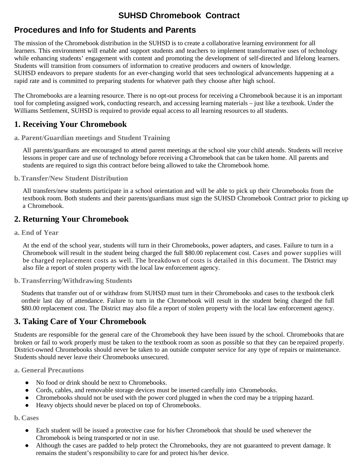# **SUHSD Chromebook Contract**

# **Procedures and Info for Students and Parents**

The mission of the Chromebook distribution in the SUHSD is to create a collaborative learning environment for all learners. This environment will enable and support students and teachers to implement transformative uses of technology while enhancing students' engagement with content and promoting the development of self-directed and lifelong learners. Students will transition from consumers of information to creative producers and owners of knowledge. SUHSD endeavors to prepare students for an ever-changing world that sees technological advancements happening at a rapid rate and is committed to preparing students for whatever path they choose after high school.

The Chromebooks are a learning resource. There is no opt-out process for receiving a Chromebook because it is an important tool for completing assigned work, conducting research, and accessing learning materials – just like a textbook. Under the Williams Settlement, SUHSD is required to provide equal access to all learning resources to all students.

## **1. Receiving Your Chromebook**

### **a. Parent/Guardian meetings and Student Training**

All parents/guardians are encouraged to attend parent meetings at the school site your child attends. Students will receive lessons in proper care and use of technology before receiving a Chromebook that can be taken home. All parents and students are required to sign this contract before being allowed to take the Chromebook home.

### **b.Transfer/New Student Distribution**

All transfers/new students participate in a school orientation and will be able to pick up their Chromebooks from the textbook room. Both students and their parents/guardians must sign the SUHSD Chromebook Contract prior to picking up a Chromebook.

### **2. Returning Your Chromebook**

**a. End of Year**

At the end of the school year, students will turn in their Chromebooks, power adapters, and cases. Failure to turn in a Chromebook will result in the student being charged the full \$80.00 replacement cost. Cases and power supplies will be charged replacement costs as well. The breakdown of costs is detailed in this document. The District may also file a report of stolen property with the local law enforcement agency.

### **b. Transferring/Withdrawing Students**

Students that transfer out of or withdraw from SUHSD must turn in their Chromebooks and cases to the textbook clerk ontheir last day of attendance. Failure to turn in the Chromebook will result in the student being charged the full \$80.00 replacement cost. The District may also file a report of stolen property with the local law enforcement agency.

## **3. Taking Care of Your Chromebook**

Students are responsible for the general care of the Chromebook they have been issued by the school. Chromebooks that are broken or fail to work properly must be taken to the textbook room as soon as possible so that they can be repaired properly. District-owned Chromebooks should never be taken to an outside computer service for any type of repairs or maintenance. Students should never leave their Chromebooks unsecured.

**a. General Precautions**

- No food or drink should be next to Chromebooks.
- Cords, cables, and removable storage devices must be inserted carefully into Chromebooks.
- Chromebooks should not be used with the power cord plugged in when the cord may be a tripping hazard.
- Heavy objects should never be placed on top of Chromebooks.

### **b. Cases**

- Each student will be issued a protective case for his/her Chromebook that should be used whenever the Chromebook is being transported or not in use.
- Although the cases are padded to help protect the Chromebooks, they are not guaranteed to prevent damage. It remains the student's responsibility to care for and protect his/her device.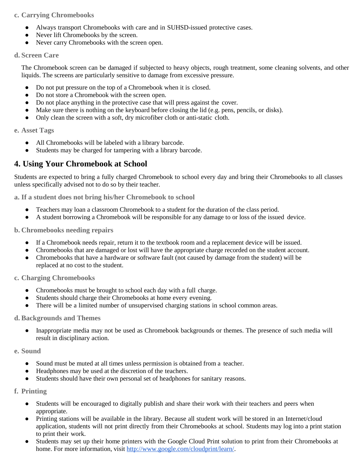### **c. Carrying Chromebooks**

- Always transport Chromebooks with care and in SUHSD-issued protective cases.
- Never lift Chromebooks by the screen.
- Never carry Chromebooks with the screen open.

### **d. Screen Care**

The Chromebook screen can be damaged if subjected to heavy objects, rough treatment, some cleaning solvents, and other liquids. The screens are particularly sensitive to damage from excessive pressure.

- Do not put pressure on the top of a Chromebook when it is closed.
- Do not store a Chromebook with the screen open.
- Do not place anything in the protective case that will press against the cover.
- Make sure there is nothing on the keyboard before closing the lid (e.g. pens, pencils, or disks).
- Only clean the screen with a soft, dry microfiber cloth or anti-static cloth.

#### **e. Asset Tags**

- All Chromebooks will be labeled with a library barcode.
- Students may be charged for tampering with a library barcode.

### **4. Using Your Chromebook at School**

Students are expected to bring a fully charged Chromebook to school every day and bring their Chromebooks to all classes unless specifically advised not to do so by their teacher.

**a. If a student does not bring his/her Chromebook to school**

- Teachers may loan a classroom Chromebook to a student for the duration of the class period.
- A student borrowing a Chromebook will be responsible for any damage to or loss of the issued device.

**b. Chromebooks needing repairs**

- If a Chromebook needs repair, return it to the textbook room and a replacement device will be issued.
- Chromebooks that are damaged or lost will have the appropriate charge recorded on the student account.
- Chromebooks that have a hardware or software fault (not caused by damage from the student) will be replaced at no cost to the student.

### **c. Charging Chromebooks**

- Chromebooks must be brought to school each day with a full charge.
- Students should charge their Chromebooks at home every evening.
- There will be a limited number of unsupervised charging stations in school common areas.

### **d. Backgrounds and Themes**

● Inappropriate media may not be used as Chromebook backgrounds or themes. The presence of such media will result in disciplinary action.

### **e. Sound**

- Sound must be muted at all times unless permission is obtained from a teacher.
- Headphones may be used at the discretion of the teachers.
- Students should have their own personal set of headphones for sanitary reasons.

### **f. Printing**

- Students will be encouraged to digitally publish and share their work with their teachers and peers when appropriate.
- Printing stations will be available in the library. Because all student work will be stored in an Internet/cloud application, students will not print directly from their Chromebooks at school. Students may log into a print station to print their work.
- Students may set up their home printers with the Google Cloud Print solution to print from their Chromebooks at home. For more information, visit [http://www.google.com/cloudprint/learn/.](http://www.google.com/cloudprint/learn/)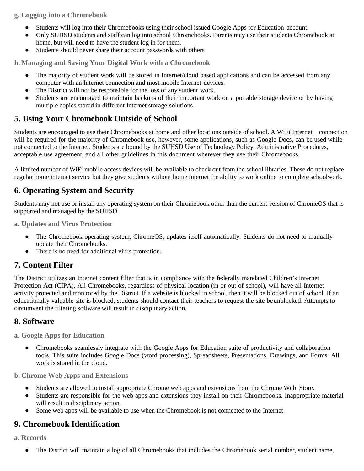**g. Logging into a Chromebook**

- Students will log into their Chromebooks using their school issued Google Apps for Education account.
- Only SUHSD students and staff can log into school Chromebooks. Parents may use their students Chromebook at home, but will need to have the student log in for them.
- Students should never share their account passwords with others

**h. Managing and Saving Your Digital Work with a Chromebook**

- The majority of student work will be stored in Internet/cloud based applications and can be accessed from any computer with an Internet connection and most mobile Internet devices.
- The District will not be responsible for the loss of any student work.
- Students are encouraged to maintain backups of their important work on a portable storage device or by having multiple copies stored in different Internet storage solutions.

## **5. Using Your Chromebook Outside of School**

Students are encouraged to use their Chromebooks at home and other locations outside of school. A WiFi Internet connection will be required for the majority of Chromebook use, however, some applications, such as Google Docs, can be used while not connected to the Internet. Students are bound by the SUHSD Use of Technology Policy, Administrative Procedures, acceptable use agreement, and all other guidelines in this document wherever they use their Chromebooks.

A limited number of WiFi mobile access devices will be available to check out from the school libraries. These do not replace regular home internet service but they give students without home internet the ability to work online to complete schoolwork.

## **6. Operating System and Security**

Students may not use or install any operating system on their Chromebook other than the current version of ChromeOS that is supported and managed by the SUHSD.

**a. Updates and Virus Protection**

- The Chromebook operating system, ChromeOS, updates itself automatically. Students do not need to manually update their Chromebooks.
- There is no need for additional virus protection.

## **7. Content Filter**

The District utilizes an Internet content filter that is in compliance with the federally mandated Children's Internet Protection Act (CIPA). All Chromebooks, regardless of physical location (in or out of school), will have all Internet activity protected and monitored by the District. If a website is blocked in school, then it will be blocked out of school. If an educationally valuable site is blocked, students should contact their teachers to request the site be unblocked. Attempts to circumvent the filtering software will result in disciplinary action.

## **8. Software**

**a. Google Apps for Education**

● Chromebooks seamlessly integrate with the Google Apps for Education suite of productivity and collaboration tools. This suite includes Google Docs (word processing), Spreadsheets, Presentations, Drawings, and Forms. All work is stored in the cloud.

**b. Chrome Web Apps and Extensions**

- Students are allowed to install appropriate Chrome web apps and extensions from the Chrome Web Store.
- Students are responsible for the web apps and extensions they install on their Chromebooks. Inappropriate material will result in disciplinary action.
- Some web apps will be available to use when the Chromebook is not connected to the Internet.

## **9. Chromebook Identification**

**a. Records**

• The District will maintain a log of all Chromebooks that includes the Chromebook serial number, student name,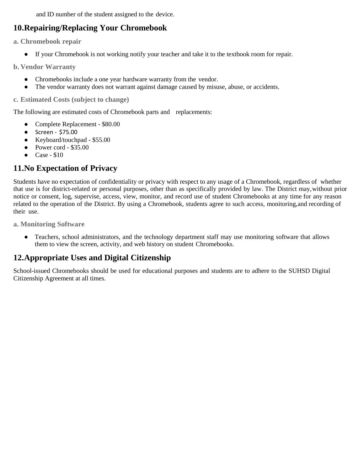and ID number of the student assigned to the device.

# **10.Repairing/Replacing Your Chromebook**

**a. Chromebook repair**

● If your Chromebook is not working notify your teacher and take it to the textbook room for repair.

**b. Vendor Warranty**

- Chromebooks include a one year hardware warranty from the vendor.
- The vendor warranty does not warrant against damage caused by misuse, abuse, or accidents.

**c. Estimated Costs (subject to change)**

The following are estimated costs of Chromebook parts and replacements:

- Complete Replacement \$80.00
- $\bullet$  Screen \$75.00
- Keyboard/touchpad \$55.00
- Power cord  $$35.00$
- Case \$10

## **11.No Expectation of Privacy**

Students have no expectation of confidentiality or privacy with respect to any usage of a Chromebook, regardless of whether that use is for district-related or personal purposes, other than as specifically provided by law. The District may,without prior notice or consent, log, supervise, access, view, monitor, and record use of student Chromebooks at any time for any reason related to the operation of the District. By using a Chromebook, students agree to such access, monitoring,and recording of their use.

**a. Monitoring Software**

• Teachers, school administrators, and the technology department staff may use monitoring software that allows them to view the screen, activity, and web history on student Chromebooks.

# **12.Appropriate Uses and Digital Citizenship**

School-issued Chromebooks should be used for educational purposes and students are to adhere to the SUHSD Digital Citizenship Agreement at all times.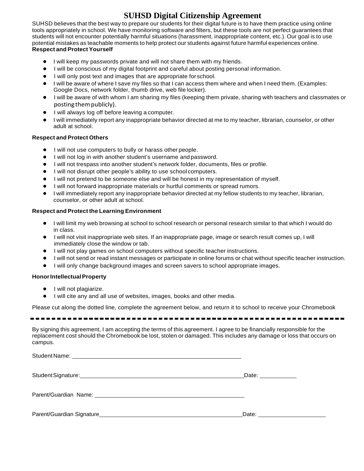# **SUHSD Digital Citizenship Agreement**

SUHSD believes that the best way to prepare our students for their digital future is to have them practice using online tools appropriately in school. We have monitoring software and filters, but these tools are not perfect guarantees that students will not encounter potentially harmful situations (harassment, inappropriate content, etc.). Our goal is to use potential mistakes as teachable moments to help protect our students against future harmful experiences online. **Respect and Protect Yourself**

- I will keep my passwords private and will not share them with my friends.
- I will be conscious of my digital footprint and careful about posting personal information.
- I will only post text and images that are appropriate for school.
- I will be aware of where I save my files so that I can access them where and when I need them. (Examples: Google Docs, network folder, thumb drive, web file locker).
- I will be aware of with whom I am sharing my files (keeping them private, sharing with teachers and classmates or posting them publicly).
- I will always log off before leaving a computer.
- I will immediately report any inappropriate behavior directed at me to my teacher, librarian, counselor, or other adult at school.

#### **Respect and Protect Others**

- I will not use computers to bully or harass other people.
- I will not log in with another student's username and password.
- I will not trespass into another student's network folder, documents, files or profile.
- I will not disrupt other people's ability to use school computers.
- I will not pretend to be someone else and will be honest in my representation of myself.
- I will not forward inappropriate materials or hurtful comments or spread rumors.
- I will immediately report any inappropriate behavior directed at my fellow students to my teacher, librarian, counselor, or other adult at school.

#### **Respect and Protect the Learning Environment**

- I will limit my web browsing at school to school research or personal research similar to that which I would do in class.
- I will not visit inappropriate web sites. If an inappropriate page, image or search result comes up, I will immediately close the window or tab.
- I will not play games on school computers without specific teacher instructions.
- I will not send or read instant messages or participate in online forums or chat without specific teacher instruction.
- I will only change background images and screen savers to school appropriate images.

#### **HonorIntellectualProperty**

- I will not plagiarize.
- I will cite any and all use of websites, images, books and other media.

Please cut along the dotted line, complete the agreement below, and return it to school to receive your Chromebook

By signing this agreement, I am accepting the terms of this agreement. I agree to be financially responsible for the replacement cost should the Chromebook be lost, stolen or damaged. This includes any damage or loss that occurs on campus.

| Student Signature: <u>Contractor Communications</u> | Date: ____________               |
|-----------------------------------------------------|----------------------------------|
|                                                     |                                  |
|                                                     | Date: <u>___________________</u> |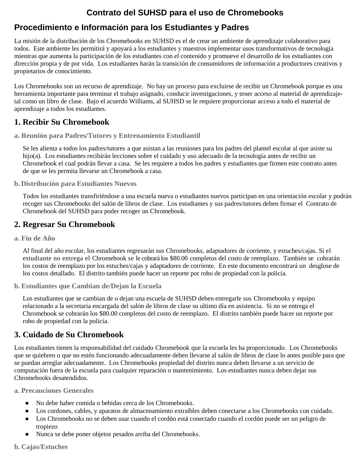# **Contrato del SUHSD para el uso de Chromebooks**

# **Procedimiento e Información para los Estudiantes y Padres**

La misión de la distribución de los Chromebooks en SUHSD es el de crear un ambiente de aprendizaje colaborativo para todos. Este ambiente les permitirá y apoyará a los estudiantes y maestros implementar usos transformativos de tecnología mientras que aumenta la participación de los estudiantes con el contenido y promueve el desarrollo de los estudiantes con dirección propia y de por vida. Los estudiantes harán la transición de consumidores de información a productores creativos y propietarios de conocimiento.

Los Chromebooks son un recurso de aprendizaje. No hay un proceso para excluirse de recibir un Chromebook porque es una herramienta importante para terminar el trabajo asignado, conducir investigaciones, y tener acceso al material de aprendizajetal como un libro de clase. Bajo el acuerdo Williams, al SUHSD se le requiere proporcionar acceso a todo el material de aprendizaje a todos los estudiantes.

# **1. Recibir Su Chromebook**

**a. Reunión para Padres/Tutores y Entrenamiento Estudiantil**

Se les alienta a todos los padres/tutores a que asistan a las reuniones para los padres del plantel escolar al que asiste su hijo(a). Los estudiantes recibirán lecciones sobre el cuidado y uso adecuado de la tecnología antes de recibir un Chromebook el cual podrán llevar a casa. Se les requiere a todos los padres y estudiantes que firmen este contrato antes de que se les permita llevarse un Chromebook a casa.

**b.Distribución para Estudiantes Nuevos**

Todos los estudiantes transfiriéndose a una escuela nueva o estudiantes nuevos participan en una orientación escolar y podrán recoger sus Chromebooks del salón de libros de clase. Los estudiantes y sus padres/tutores deben firmar el Contrato de Chromebook del SUHSD para poder recoger un Chromebook.

# **2. Regresar Su Chromebook**

**a. Fin de Año**

Al final del año escolar, los estudiantes regresarán sus Chromebooks, adaptadores de corriente, y estuches/cajas. Si el estudiante no entrega el Chromebook se le cobrará los \$80.00 completos del costo de reemplazo. También se cobrarán los costos de reemplazo por los estuches/cajas y adaptadores de corriente. En este documento encontrará un desglose de los costos detallado. El distrito también puede hacer un reporte por robo de propiedad con la policía.

## **b. Estudiantes que Cambian de/Dejan la Escuela**

Los estudiantes que se cambian de o dejan una escuela de SUHSD deben entregarle sus Chromebooks y equipo relacionado a la secretaria encargada del salón de libros de clase su ultimo día en asistencia. Si no se entrega el Chromebook se cobrarán los \$80.00 completos del costo de reemplazo. El distrito también puede hacer un reporte por robo de propiedad con la policía.

# **3. Cuidado de Su Chromebook**

Los estudiantes tienen la responsabilidad del cuidado Chromebook que la escuela les ha proporcionado. Los Chromebooks que se quiebren o que no estén funcionando adecuadamente deben llevarse al salón de libros de clase lo antes posible para que se puedan arreglar adecuadamente. Los Chromebooks propiedad del distrito nunca deben llevarse a un servicio de computación fuera de la escuela para cualquier reparación o mantenimiento. Los estudiantes nunca deben dejar sus Chromebooks desatendidos.

**a. Precauciones Generales** 

- No debe haber comida o bebidas cerca de los Chromebooks.
- Los cordones, cables, y aparatos de almacenamiento extraíbles deben conectarse a los Chromebooks con cuidado.
- Los Chromebooks no se deben usar cuando el cordón está conectado cuando el cordón puede ser un peligro de tropiezo
- Nunca se debe poner objetos pesados arriba del Chromebooks.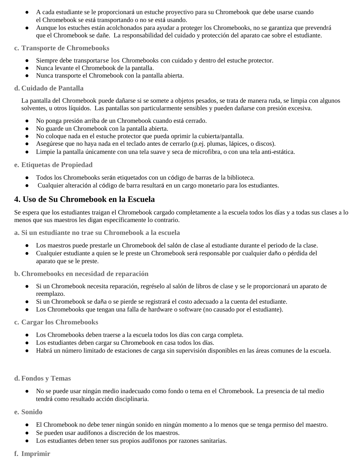- A cada estudiante se le proporcionará un estuche proyectivo para su Chromebook que debe usarse cuando el Chromebook se está transportando o no se está usando.
- Aunque los estuches están acolchonados para ayudar a proteger los Chromebooks, no se garantiza que prevendrá que el Chromebook se dañe. La responsabilidad del cuidado y protección del aparato cae sobre el estudiante.

### **c. Transporte de Chromebooks**

- Siempre debe transportarse los Chromebooks con cuidado y dentro del estuche protector.
- Nunca levante el Chromebook de la pantalla.
- Nunca transporte el Chromebook con la pantalla abierta.

### **d. Cuidado de Pantalla**

La pantalla del Chromebook puede dañarse si se somete a objetos pesados, se trata de manera ruda, se limpia con algunos solventes, u otros líquidos. Las pantallas son particularmente sensibles y pueden dañarse con presión excesiva.

- No ponga presión arriba de un Chromebook cuando está cerrado.
- No guarde un Chromebook con la pantalla abierta.
- No coloque nada en el estuche protector que pueda oprimir la cubierta/pantalla.
- Asegúrese que no haya nada en el teclado antes de cerrarlo (p.ej. plumas, lápices, o discos).
- Limpie la pantalla únicamente con una tela suave y seca de microfibra, o con una tela anti-estática.

### **e. Etiquetas de Propiedad**

- Todos los Chromebooks serán etiquetados con un código de barras de la biblioteca.
- Cualquier alteración al código de barra resultará en un cargo monetario para los estudiantes.

## **4. Uso de Su Chromebook en la Escuela**

Se espera que los estudiantes traigan el Chromebook cargado completamente a la escuela todos los días y a todas sus clases a lo menos que sus maestros les digan específicamente lo contrario.

**a. Si un estudiante no trae su Chromebook a la escuela**

- Los maestros puede prestarle un Chromebook del salón de clase al estudiante durante el periodo de la clase.
- Cualquier estudiante a quien se le preste un Chromebook será responsable por cualquier daño o pérdida del aparato que se le preste.

**b. Chromebooks en necesidad de reparación**

- Si un Chromebook necesita reparación, regréselo al salón de libros de clase y se le proporcionará un aparato de reemplazo.
- Si un Chromebook se daña o se pierde se registrará el costo adecuado a la cuenta del estudiante.
- Los Chromebooks que tengan una falla de hardware o software (no causado por el estudiante).

### **c. Cargar los Chromebooks**

- Los Chromebooks deben traerse a la escuela todos los días con carga completa.
- Los estudiantes deben cargar su Chromebook en casa todos los días.
- Habrá un número limitado de estaciones de carga sin supervisión disponibles en las áreas comunes de la escuela.

### **d. Fondos y Temas**

● No se puede usar ningún medio inadecuado como fondo o tema en el Chromebook. La presencia de tal medio tendrá como resultado acción disciplinaria.

**e. Sonido**

- El Chromebook no debe tener ningún sonido en ningún momento a lo menos que se tenga permiso del maestro.
- Se pueden usar audífonos a discreción de los maestros.
- Los estudiantes deben tener sus propios audífonos por razones sanitarias.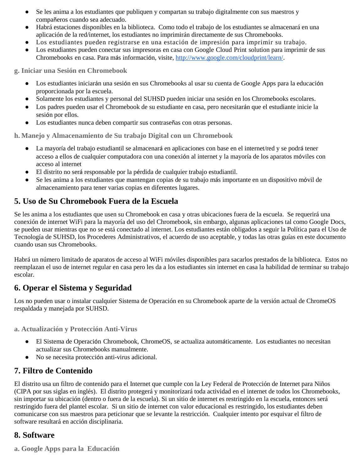- Se les anima a los estudiantes que publiquen y compartan su trabajo digitalmente con sus maestros y compañeros cuando sea adecuado.
- Habrá estaciones disponibles en la biblioteca. Como todo el trabajo de los estudiantes se almacenará en una aplicación de la red/internet, los estudiantes no imprimirán directamente de sus Chromebooks.
- Los estudiantes pueden registrarse en una estación de impresión para imprimir su trabajo.
- Los estudiantes pueden conectar sus impresoras en casa con Google Cloud Print solution para imprimir de sus Chromebooks en casa. Para más información, visite, [http://www.google.com/cloudprint/learn/.](http://www.google.com/cloudprint/learn/)

**g. Iniciar una Sesión en Chromebook**

- Los estudiantes iniciarán una sesión en sus Chromebooks al usar su cuenta de Google Apps para la educación proporcionada por la escuela.
- Solamente los estudiantes y personal del SUHSD pueden iniciar una sesión en los Chromebooks escolares.
- Los padres pueden usar el Chromebook de su estudiante en casa, pero necesitarán que el estudiante inicie la sesión por ellos.
- Los estudiantes nunca deben compartir sus contraseñas con otras personas.

**h. Manejo y Almacenamiento de Su trabajo Digital con un Chromebook**

- La mayoría del trabajo estudiantil se almacenará en aplicaciones con base en el internet/red y se podrá tener acceso a ellos de cualquier computadora con una conexión al internet y la mayoría de los aparatos móviles con acceso al internet
- El distrito no será responsable por la pérdida de cualquier trabajo estudiantil.
- Se les anima a los estudiantes que mantengan copias de su trabajo más importante en un dispositivo móvil de almacenamiento para tener varias copias en diferentes lugares.

## **5. Uso de Su Chromebook Fuera de la Escuela**

Se les anima a los estudiantes que usen su Chromebook en casa y otras ubicaciones fuera de la escuela. Se requerirá una conexión de internet WiFi para la mayoría del uso del Chromebook, sin embargo, algunas aplicaciones tal como Google Docs, se pueden usar mientras que no se está conectado al internet. Los estudiantes están obligados a seguir la Política para el Uso de Tecnología de SUHSD, los Procederes Administrativos, el acuerdo de uso aceptable, y todas las otras guías en este documento cuando usan sus Chromebooks.

Habrá un número limitado de aparatos de acceso al WiFi móviles disponibles para sacarlos prestados de la biblioteca. Estos no reemplazan el uso de internet regular en casa pero les da a los estudiantes sin internet en casa la habilidad de terminar su trabajo escolar.

## **6. Operar el Sistema y Seguridad**

Los no pueden usar o instalar cualquier Sistema de Operación en su Chromebook aparte de la versión actual de ChromeOS respaldada y manejada por SUHSD.

**a. Actualización y Protección Anti-Virus**

- El Sistema de Operación Chromebook, ChromeOS, se actualiza automáticamente. Los estudiantes no necesitan actualizar sus Chromebooks manualmente.
- No se necesita protección anti-virus adicional.

## **7. Filtro de Contenido**

El distrito usa un filtro de contenido para el Internet que cumple con la Ley Federal de Protección de Internet para Niños (CIPA por sus siglas en inglés). El distrito protegerá y monitorizará toda actividad en el internet de todos los Chromebooks, sin importar su ubicación (dentro o fuera de la escuela). Si un sitio de internet es restringido en la escuela, entonces será restringido fuera del plantel escolar. Si un sitio de internet con valor educacional es restringido, los estudiantes deben comunicarse con sus maestros para peticionar que se levante la restricción. Cualquier intento por esquivar el filtro de software resultará en acción disciplinaria.

### **8. Software**

**a. Google Apps para la Educación**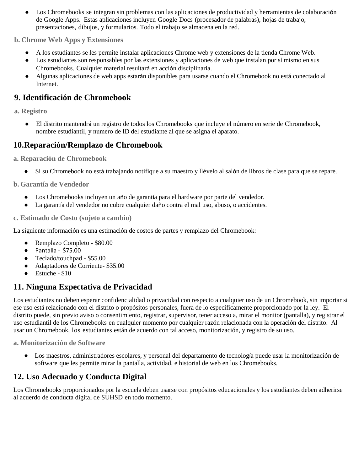● Los Chromebooks se integran sin problemas con las aplicaciones de productividad y herramientas de colaboración de Google Apps. Estas aplicaciones incluyen Google Docs (procesador de palabras), hojas de trabajo, presentaciones, dibujos, y formularios. Todo el trabajo se almacena en la red.

### **b. Chrome Web Apps y Extensiones**

- A los estudiantes se les permite instalar aplicaciones Chrome web y extensiones de la tienda Chrome Web.
- Los estudiantes son responsables por las extensiones y aplicaciones de web que instalan por sí mismo en sus Chromebooks. Cualquier material resultará en acción disciplinaria.
- Algunas aplicaciones de web apps estarán disponibles para usarse cuando el Chromebook no está conectado al **Internet**

## **9. Identificación de Chromebook**

**a. Registro**

● El distrito mantendrá un registro de todos los Chromebooks que incluye el número en serie de Chromebook, nombre estudiantil, y numero de ID del estudiante al que se asigna el aparato.

## **10.Reparación/Remplazo de Chromebook**

**a. Reparación de Chromebook** 

● Si su Chromebook no está trabajando notifique a su maestro y llévelo al salón de libros de clase para que se repare.

**b. Garantía de Vendedor** 

- Los Chromebooks incluyen un año de garantía para el hardware por parte del vendedor.
- La garantía del vendedor no cubre cualquier daño contra el mal uso, abuso, o accidentes.

**c. Estimado de Costo (sujeto a cambio)**

La siguiente información es una estimación de costos de partes y remplazo del Chromebook:

- Remplazo Completo \$80.00
- $\bullet$  Pantalla \$75.00
- Teclado/touchpad \$55.00
- Adaptadores de Corriente- \$35.00
- $\bullet$  Estuche \$10

## **11. Ninguna Expectativa de Privacidad**

Los estudiantes no deben esperar confidencialidad o privacidad con respecto a cualquier uso de un Chromebook, sin importar si ese uso está relacionado con el distrito o propósitos personales, fuera de lo específicamente proporcionado por la ley. El distrito puede, sin previo aviso o consentimiento, registrar, supervisor, tener acceso a, mirar el monitor (pantalla), y registrar el uso estudiantil de los Chromebooks en cualquier momento por cualquier razón relacionada con la operación del distrito. Al usar un Chromebook, los estudiantes están de acuerdo con tal acceso, monitorización, y registro de su uso.

**a. Monitorización de Software**

● Los maestros, administradores escolares, y personal del departamento de tecnología puede usar la monitorización de software que les permite mirar la pantalla, actividad, e historial de web en los Chromebooks.

## **12. Uso Adecuado y Conducta Digital**

Los Chromebooks proporcionados por la escuela deben usarse con propósitos educacionales y los estudiantes deben adherirse al acuerdo de conducta digital de SUHSD en todo momento.